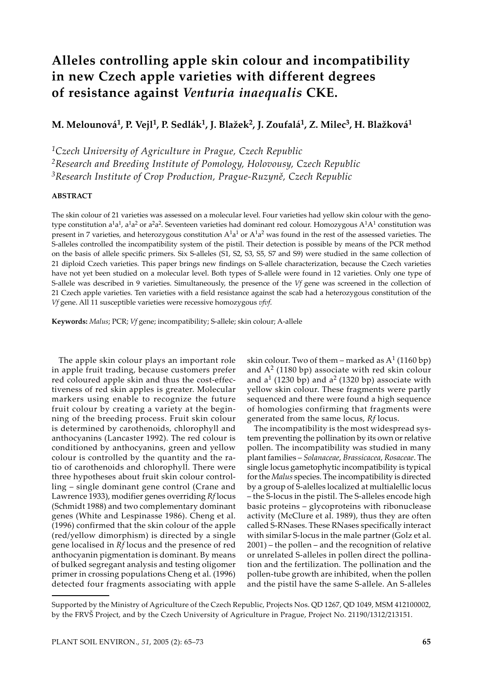# **Alleles controlling apple skin colour and incompatibility in new Czech apple varieties with different degrees of resistance against** *Venturia inaequalis* **CKE.**

**M. Melounová1, P. Vejl1, P. Sedlák1, J. Blažek2, J. Zoufalá1, Z. Milec3, H. Blažková1**

*1Czech University of Agriculture in Prague, Czech Republic*

*2Research and Breeding Institute of Pomology, Holovousy, Czech Republic 3Research Institute of Crop Production, Prague-Ruzyně, Czech Republic*

# **ABSTRACT**

The skin colour of 21 varieties was assessed on a molecular level. Four varieties had yellow skin colour with the genotype constitution a<sup>1</sup>a<sup>1</sup>, a<sup>1</sup>a<sup>2</sup> or a<sup>2</sup>a<sup>2</sup>. Seventeen varieties had dominant red colour. Homozygous A<sup>1</sup>A<sup>1</sup> constitution was present in 7 varieties, and heterozygous constitution  $A<sup>1</sup>a<sup>1</sup>$  or  $A<sup>1</sup>a<sup>2</sup>$  was found in the rest of the assessed varieties. The S-alleles controlled the incompatibility system of the pistil. Their detection is possible by means of the PCR method on the basis of allele specific primers. Six S-alleles (S1, S2, S3, S5, S7 and S9) were studied in the same collection of 21 diploid Czech varieties. This paper brings new findings on S-allele characterization, because the Czech varieties have not yet been studied on a molecular level. Both types of S-allele were found in 12 varieties. Only one type of S-allele was described in 9 varieties. Simultaneously, the presence of the *Vf* gene was screened in the collection of 21 Czech apple varieties. Ten varieties with a field resistance against the scab had a heterozygous constitution of the *Vf* gene. All 11 susceptible varieties were recessive homozygous *vfvf*.

**Keywords:** *Malus*; PCR; *Vf* gene; incompatibility; S-allele; skin colour; A-allele

The apple skin colour plays an important role in apple fruit trading, because customers prefer red coloured apple skin and thus the cost-effectiveness of red skin apples is greater. Molecular markers using enable to recognize the future fruit colour by creating a variety at the beginning of the breeding process. Fruit skin colour is determined by carothenoids, chlorophyll and anthocyanins (Lancaster 1992). The red colour is conditioned by anthocyanins, green and yellow colour is controlled by the quantity and the ratio of carothenoids and chlorophyll. There were three hypotheses about fruit skin colour controlling – single dominant gene control (Crane and Lawrence 1933), modifier genes overriding *Rf* locus (Schmidt 1988) and two complementary dominant genes (White and Lespinasse 1986). Cheng et al. (1996) confirmed that the skin colour of the apple (red/yellow dimorphism) is directed by a single gene localised in *Rf* locus and the presence of red anthocyanin pigmentation is dominant. By means of bulked segregant analysis and testing oligomer primer in crossing populations Cheng et al. (1996) detected four fragments associating with apple

skin colour. Two of them – marked as  $A^1$  (1160 bp) and  $A<sup>2</sup>$  (1180 bp) associate with red skin colour and  $a^1$  (1230 bp) and  $a^2$  (1320 bp) associate with yellow skin colour. These fragments were partly sequenced and there were found a high sequence of homologies confirming that fragments were generated from the same locus, *Rf* locus.

The incompatibility is the most widespread system preventing the pollination by its own or relative pollen. The incompatibility was studied in many plant families – *Solanaceae*, *Brassicacea*, *Rosaceae*. The single locus gametophytic incompatibility is typical for the *Malus* species. The incompatibility is directed by a group of S-alelles localized at multialellic locus – the S-locus in the pistil. The S-alleles encode high basic proteins – glycoproteins with ribonuclease activity (McClure et al. 1989), thus they are often called S-RNases. These RNases specifically interact with similar S-locus in the male partner (Golz et al. 2001) – the pollen – and the recognition of relative or unrelated S-alleles in pollen direct the pollination and the fertilization. The pollination and the pollen-tube growth are inhibited, when the pollen and the pistil have the same S-allele. An S-alleles

Supported by the Ministry of Agriculture of the Czech Republic, Projects Nos. QD 1267, QD 1049, MSM 412100002, by the FRVŠ Project, and by the Czech University of Agriculture in Prague, Project No. 21190/1312/213151.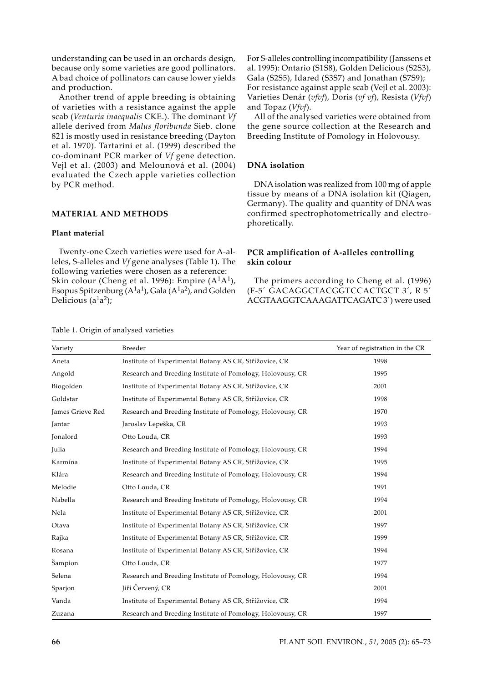understanding can be used in an orchards design, because only some varieties are good pollinators. A bad choice of pollinators can cause lower yields and production.

Another trend of apple breeding is obtaining of varieties with a resistance against the apple scab (*Venturia inaequalis* CKE.). The dominant *Vf* allele derived from *Malus floribunda* Sieb. clone 821 is mostly used in resistance breeding (Dayton et al. 1970). Tartarini et al. (1999) described the co-dominant PCR marker of *Vf* gene detection. Vejl et al. (2003) and Melounová et al. (2004) evaluated the Czech apple varieties collection by PCR method.

## **MATERIAL AND METHODS**

#### **Plant material**

Twenty-one Czech varieties were used for A-alleles, S-alleles and *Vf* gene analyses (Table 1). The following varieties were chosen as a reference: Skin colour (Cheng et al. 1996): Empire  $(A<sup>1</sup>A<sup>1</sup>)$ , Esopus Spitzenburg  $(A<sup>1</sup>a<sup>1</sup>)$ , Gala  $(A<sup>1</sup>a<sup>2</sup>)$ , and Golden Delicious  $(a^1a^2)$ ;

For S-alleles controlling incompatibility (Janssens et al. 1995): Ontario (S1S8), Golden Delicious (S2S3), Gala (S2S5), Idared (S3S7) and Jonathan (S7S9); For resistance against apple scab (Vejl et al. 2003): Varieties Denár (*vfvf*), Doris (*vf vf*), Resista (*Vfvf*) and Topaz (*Vfvf*).

All of the analysed varieties were obtained from the gene source collection at the Research and Breeding Institute of Pomology in Holovousy.

## **DNA isolation**

DNA isolation was realized from 100 mg of apple tissue by means of a DNA isolation kit (Qiagen, Germany). The quality and quantity of DNA was confirmed spectrophotometrically and electrophoretically.

# **PCR amplification of A-alleles controlling skin colour**

The primers according to Cheng et al. (1996) (F-5´ GACAGGCTACGGTCCACTGCT 3´, R 5´ ACGTAAGGTCAAAGATTCAGATC 3´) were used

| Variety          | Breeder                                                    | Year of registration in the CR |
|------------------|------------------------------------------------------------|--------------------------------|
| Aneta            | Institute of Experimental Botany AS CR, Střížovice, CR     | 1998                           |
| Angold           | Research and Breeding Institute of Pomology, Holovousy, CR | 1995                           |
| Biogolden        | Institute of Experimental Botany AS CR, Střížovice, CR     | 2001                           |
| Goldstar         | Institute of Experimental Botany AS CR, Střížovice, CR     | 1998                           |
| James Grieve Red | Research and Breeding Institute of Pomology, Holovousy, CR | 1970                           |
| Jantar           | Jaroslav Lepeška, CR                                       | 1993                           |
| Jonalord         | Otto Louda, CR                                             | 1993                           |
| Julia            | Research and Breeding Institute of Pomology, Holovousy, CR | 1994                           |
| Karmína          | Institute of Experimental Botany AS CR, Střížovice, CR     | 1995                           |
| Klára            | Research and Breeding Institute of Pomology, Holovousy, CR | 1994                           |
| Melodie          | Otto Louda, CR                                             | 1991                           |
| Nabella          | Research and Breeding Institute of Pomology, Holovousy, CR | 1994                           |
| Nela             | Institute of Experimental Botany AS CR, Střížovice, CR     | 2001                           |
| Otava            | Institute of Experimental Botany AS CR, Střížovice, CR     | 1997                           |
| Rajka            | Institute of Experimental Botany AS CR, Střížovice, CR     | 1999                           |
| Rosana           | Institute of Experimental Botany AS CR, Střížovice, CR     | 1994                           |
| Šampion          | Otto Louda, CR                                             | 1977                           |
| Selena           | Research and Breeding Institute of Pomology, Holovousy, CR | 1994                           |
| Sparjon          | Jiří Červený, CR                                           | 2001                           |
| Vanda            | Institute of Experimental Botany AS CR, Střížovice, CR     | 1994                           |
| Zuzana           | Research and Breeding Institute of Pomology, Holovousy, CR | 1997                           |

Table 1. Origin of analysed varieties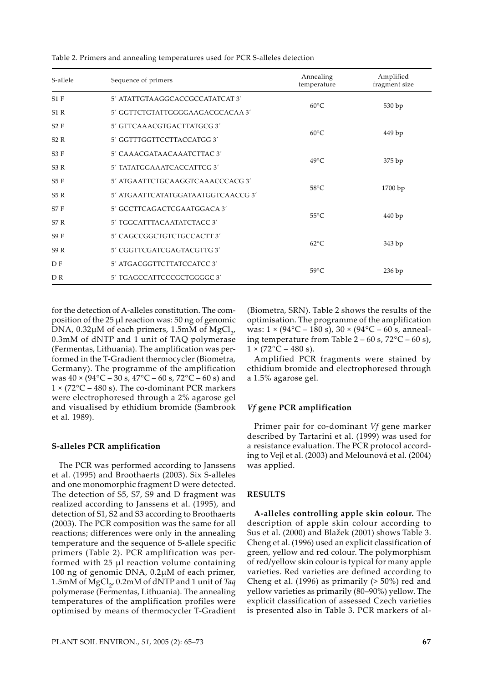| S-allele       | Sequence of primers                   | Annealing<br>temperature | Amplified<br>fragment size |  |
|----------------|---------------------------------------|--------------------------|----------------------------|--|
| $S1$ F         | 5' ATATTGTAAGGCACCGCCATATCAT 3'       | $60^{\circ}$ C           | 530 bp                     |  |
| S1R            | 5' GGTTCTGTATTGGGGAAGACGCACAA 3'      |                          |                            |  |
| S2F            | 5' GTTCAAACGTGACTTATGCG3'             |                          |                            |  |
| S2R            | 5' GGTTTGGTTCCTTACCATGG 3'            | $60^{\circ}$ C           | 449 bp                     |  |
| S3F            | 5' CAAACGATAACAAATCTTAC 3'            | $49^{\circ}$ C           | 375 bp                     |  |
| S3R            | 5' TATATGGAAATCACCATTCG 3'            |                          |                            |  |
| S5F            | 5' ATGAATTCTGCAAGGTCAAACCCACG 3'      | $58^{\circ}$ C           |                            |  |
| S5 R           | 5' ATGA ATTCATATGGATA ATGGTCA ACCG 3' |                          | 1700bp                     |  |
| S7F            | 5' GCCTTCAGACTCGAATGGACA 3'           | $55^{\circ}$ C           |                            |  |
| S7R            | 5' TGGCATTTACAATATCTACC 3'            |                          | 440bp                      |  |
| S9F            | 5' CAGCCGGCTGTCTGCCACTT 3'            |                          |                            |  |
| S9R            | 5' CGGTTCGATCGAGTACGTTG 3'            | $62^{\circ}$ C           | 343 bp                     |  |
| D F            | 5' ATGACGGTTCTTATCCATCC 3'            |                          |                            |  |
| D <sub>R</sub> | 5' TGAGCCATTCCCGCTGGGGC 3'            | $59^{\circ}$ C           | 236 bp                     |  |

Table 2. Primers and annealing temperatures used for PCR S-alleles detection

for the detection of A-alleles constitution. The composition of the 25 µl reaction was: 50 ng of genomic DNA,  $0.32\mu$ M of each primers, 1.5mM of MgCl<sub>2</sub>, 0.3mM of dNTP and 1 unit of TAQ polymerase (Fermentas, Lithuania). The amplification was performed in the T-Gradient thermocycler (Biometra, Germany). The programme of the amplification was  $40 \times (94^{\circ}C - 30 s, 47^{\circ}C - 60 s, 72^{\circ}C - 60 s)$  and  $1 \times (72^{\circ}C - 480 \text{ s})$ . The co-dominant PCR markers were electrophoresed through a 2% agarose gel and visualised by ethidium bromide (Sambrook et al. 1989).

## **S-alleles PCR amplification**

The PCR was performed according to Janssens et al. (1995) and Broothaerts (2003). Six S-alleles and one monomorphic fragment D were detected. The detection of S5, S7, S9 and D fragment was realized according to Janssens et al. (1995), and detection of S1, S2 and S3 according to Broothaerts (2003). The PCR composition was the same for all reactions; differences were only in the annealing temperature and the sequence of S-allele specific primers (Table 2). PCR amplification was performed with 25 µl reaction volume containing 100 ng of genomic DNA, 0.2µM of each primer, 1.5mM of MgCl<sub>2</sub>, 0.2mM of dNTP and 1 unit of *Taq* polymerase (Fermentas, Lithuania). The annealing temperatures of the amplification profiles were optimised by means of thermocycler T-Gradient

(Biometra, SRN). Table 2 shows the results of the optimisation. The programme of the amplification was:  $1 \times (94^{\circ}C - 180 \text{ s})$ ,  $30 \times (94^{\circ}C - 60 \text{ s})$ , annealing temperature from Table  $2 - 60$  s,  $72^{\circ}$ C –  $60$  s),  $1 \times (72^{\circ}C - 480 \text{ s}).$ 

Amplified PCR fragments were stained by ethidium bromide and electrophoresed through a 1.5% agarose gel.

## *Vf* **gene PCR amplification**

Primer pair for co-dominant *Vf* gene marker described by Tartarini et al. (1999) was used for a resistance evaluation. The PCR protocol according to Vejl et al. (2003) and Melounová et al. (2004) was applied.

### **RESULTS**

**A-alleles controlling apple skin colour.** The description of apple skin colour according to Sus et al. (2000) and Blažek (2001) shows Table 3. Cheng et al. (1996) used an explicit classification of green, yellow and red colour. The polymorphism of red/yellow skin colour is typical for many apple varieties. Red varieties are defined according to Cheng et al. (1996) as primarily (> 50%) red and yellow varieties as primarily (80–90%) yellow. The explicit classification of assessed Czech varieties is presented also in Table 3. PCR markers of al-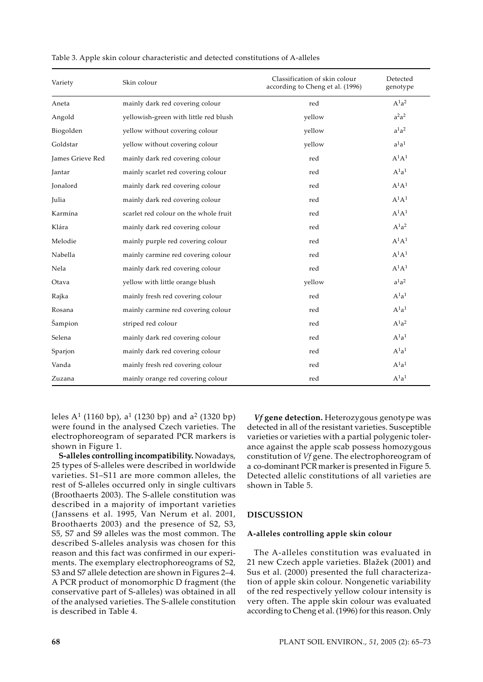| Variety          | Skin colour                           | Classification of skin colour<br>according to Cheng et al. (1996) | Detected<br>genotype |
|------------------|---------------------------------------|-------------------------------------------------------------------|----------------------|
| Aneta            | mainly dark red covering colour       | red                                                               | $A^1a^2$             |
| Angold           | yellowish-green with little red blush | yellow                                                            | $a^2a^2$             |
| Biogolden        | yellow without covering colour        | yellow                                                            | $a^1a^2$             |
| Goldstar         | yellow without covering colour        | yellow                                                            | $a^1a^1$             |
| James Grieve Red | mainly dark red covering colour       | red                                                               | $A^1A^1$             |
| Jantar           | mainly scarlet red covering colour    | red                                                               | $A^1a^1$             |
| Jonalord         | mainly dark red covering colour       | red                                                               | $A^1A^1$             |
| Julia            | mainly dark red covering colour       | red                                                               | $A^1A^1$             |
| Karmína          | scarlet red colour on the whole fruit | red                                                               | $A^1A^1$             |
| Klára            | mainly dark red covering colour       | red                                                               | $A^1a^2$             |
| Melodie          | mainly purple red covering colour     | red                                                               | $A^1A^1$             |
| Nabella          | mainly carmine red covering colour    | red                                                               | $A^1A^1$             |
| Nela             | mainly dark red covering colour       | red                                                               | $A^1A^1$             |
| Otava            | yellow with little orange blush       | yellow                                                            | $a^1a^2$             |
| Rajka            | mainly fresh red covering colour      | red                                                               | $A^1a^1$             |
| Rosana           | mainly carmine red covering colour    | red                                                               | $A^1a^1$             |
| Šampion          | striped red colour                    | red                                                               | $A^1a^2$             |
| Selena           | mainly dark red covering colour       | red                                                               | $A^1a^1$             |
| Sparjon          | mainly dark red covering colour       | red                                                               | $A^1a^1$             |
| Vanda            | mainly fresh red covering colour      | red                                                               | $A^1a^1$             |
| Zuzana           | mainly orange red covering colour     | red                                                               | $A^1a^1$             |

| Table 3. Apple skin colour characteristic and detected constitutions of A-alleles |  |  |  |
|-----------------------------------------------------------------------------------|--|--|--|
|-----------------------------------------------------------------------------------|--|--|--|

leles A<sup>1</sup> (1160 bp),  $a^1$  (1230 bp) and  $a^2$  (1320 bp) were found in the analysed Czech varieties. The electrophoreogram of separated PCR markers is shown in Figure 1.

**S-alleles controlling incompatibility.** Nowadays, 25 types of S-alleles were described in worldwide varieties. S1–S11 are more common alleles, the rest of S-alleles occurred only in single cultivars (Broothaerts 2003). The S-allele constitution was described in a majority of important varieties (Janssens et al. 1995, Van Nerum et al. 2001, Broothaerts 2003) and the presence of S2, S3, S5, S7 and S9 alleles was the most common. The described S-alleles analysis was chosen for this reason and this fact was confirmed in our experiments. The exemplary electrophoreograms of S2, S3 and S7 allele detection are shown in Figures 2–4. A PCR product of monomorphic D fragment (the conservative part of S-alleles) was obtained in all of the analysed varieties. The S-allele constitution is described in Table 4.

*Vf* **gene detection.** Heterozygous genotype was detected in all of the resistant varieties. Susceptible varieties or varieties with a partial polygenic tolerance against the apple scab possess homozygous constitution of *Vf* gene. The electrophoreogram of a co-dominant PCR marker is presented in Figure 5. Detected allelic constitutions of all varieties are shown in Table 5.

# **DISCUSSION**

#### **A-alleles controlling apple skin colour**

The A-alleles constitution was evaluated in 21 new Czech apple varieties. Blažek (2001) and Sus et al. (2000) presented the full characterization of apple skin colour. Nongenetic variability of the red respectively yellow colour intensity is very often. The apple skin colour was evaluated according to Cheng et al. (1996) for this reason. Only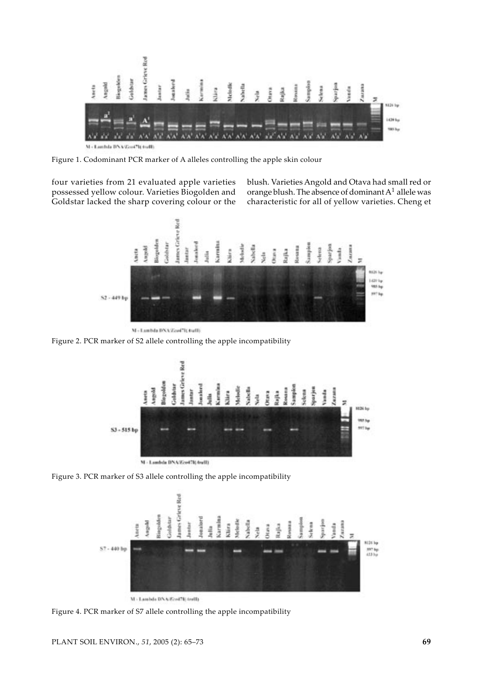

M - Lambda DNA/Gord7B.traff)

Figure 1. Codominant PCR marker of A alleles controlling the apple skin colour

four varieties from 21 evaluated apple varieties possessed yellow colour. Varieties Biogolden and Goldstar lacked the sharp covering colour or the

blush. Varieties Angold and Otava had small red or orange blush. The absence of dominant A1 allele was characteristic for all of yellow varieties. Cheng et



M - Lambda DNA/Zeof7ItAvell)

Figure 2. PCR marker of S2 allele controlling the apple incompatibility



Figure 3. PCR marker of S3 allele controlling the apple incompatibility



Figure 4. PCR marker of S7 allele controlling the apple incompatibility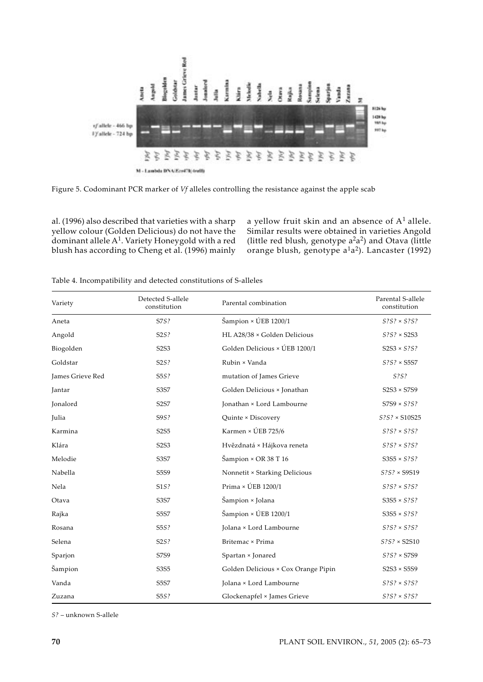

Figure 5. Codominant PCR marker of *Vf* alleles controlling the resistance against the apple scab

al. (1996) also described that varieties with a sharp yellow colour (Golden Delicious) do not have the dominant allele  $A^1$ . Variety Honeygold with a red blush has according to Cheng et al. (1996) mainly

a yellow fruit skin and an absence of  $A<sup>1</sup>$  allele. Similar results were obtained in varieties Angold (little red blush, genotype  $a^2a^2$ ) and Otava (little orange blush, genotype  $a<sup>1</sup>a<sup>2</sup>$ ). Lancaster (1992)

| Variety          | Detected S-allele<br>constitution | Parental combination                              | Parental S-allele<br>constitution |
|------------------|-----------------------------------|---------------------------------------------------|-----------------------------------|
| Aneta            | S7S?                              | Šampion × ÚEB 1200/1                              | $S$ ? $S$ ? $\times$ $S$ ? $S$ ?  |
| Angold           | S2S?                              | HL A28/38 × Golden Delicious                      | $S$ ? $S$ ? × S2S3                |
| Biogolden        | S2S3                              | Golden Delicious × ÚEB 1200/1                     | $S2S3 \times S?S?$                |
| Goldstar         | S2S?                              | Rubin × Vanda                                     | $S$ ? $S$ ? × S5S7                |
| James Grieve Red | S5S?                              | mutation of James Grieve                          | S?S?                              |
| Jantar           | S3S7                              | Golden Delicious × Jonathan                       | $S2S3 \times S7S9$                |
| Jonalord         | S2S7                              | Jonathan × Lord Lambourne                         | $S7S9 \times S?S?$                |
| Julia            | S9S?                              | Quinte × Discovery                                | $S$ ? $S$ ? × S10S25              |
| Karmina          | S2S5                              | Karmen × ÚEB 725/6                                | $S?S? \times S?S?$                |
| Klára            | S2S3                              | Hvězdnatá × Hájkova reneta                        | $S?S? \times S?S?$                |
| Melodie          | <b>S3S7</b>                       | $\text{Sampion} \times \text{OR} 38 \text{ T} 16$ | $S3S5 \times S?S?$                |
| Nabella          | S5S9                              | Nonnetit × Starking Delicious                     | $S?S? \times S9S19$               |
| Nela             | S1S?                              | Prima × ÚEB 1200/1                                | $S$ ? $S$ ? $\times$ $S$ ? $S$ ?  |
| Otava            | S3S7                              | Šampion × Jolana                                  | $S3S5 \times S?S?$                |
| Rajka            | <b>S5S7</b>                       | Šampion × ÚEB 1200/1                              | $S3S5 \times S?S?$                |
| Rosana           | S5S?                              | Jolana × Lord Lambourne                           | $S$ ? $S$ ? $\times$ $S$ ? $S$ ?  |
| Selena           | S2S?                              | Britemac × Prima                                  | $S$ ? $S$ ? × S2S10               |
| Sparjon          | <b>S7S9</b>                       | Spartan × Jonared                                 | $S$ ? $S$ ? × S7S9                |
| Šampion          | S3S5                              | Golden Delicious × Cox Orange Pipin               | $S2S3 \times S5S9$                |
| Vanda            | S5S7                              | Jolana × Lord Lambourne                           | $S$ ? $S$ ? $\times$ $S$ ? $S$ ?  |
| Zuzana           | S5S?                              | Glockenapfel × James Grieve                       | $S$ ? $S$ ? $\times$ $S$ ? $S$ ?  |

Table 4. Incompatibility and detected constitutions of S-alleles

*S?* – unknown S-allele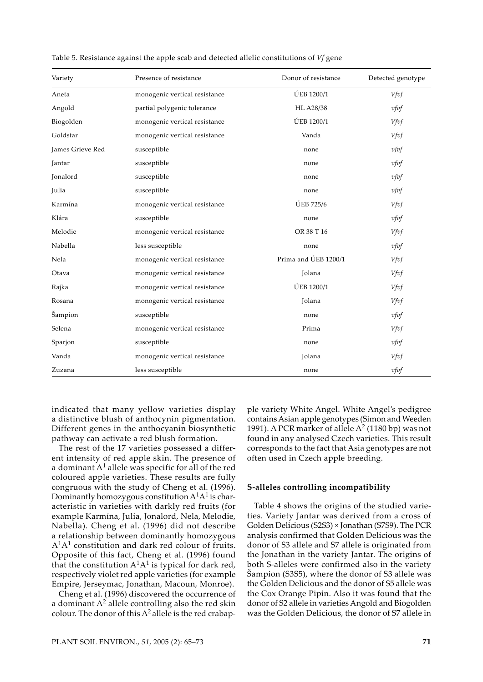| Variety          | Presence of resistance        | Donor of resistance  | Detected genotype |
|------------------|-------------------------------|----------------------|-------------------|
| Aneta            | monogenic vertical resistance | ÚEB 1200/1           | Vfvf              |
| Angold           | partial polygenic tolerance   | HL A28/38            | vfvf              |
| Biogolden        | monogenic vertical resistance | ÚEB 1200/1           | Vfvf              |
| Goldstar         | monogenic vertical resistance | Vanda                | Vfvf              |
| James Grieve Red | susceptible                   | none                 | $v$ fvf           |
| Jantar           | susceptible                   | none                 | $v$ fvf           |
| Jonalord         | susceptible                   | none                 | vfvf              |
| Julia            | susceptible                   | none                 | vfvf              |
| Karmína          | monogenic vertical resistance | ÚEB 725/6            | Vfvf              |
| Klára            | susceptible                   | none                 | $v$ fvf           |
| Melodie          | monogenic vertical resistance | OR 38 T 16           | Vfvf              |
| Nabella          | less susceptible              | none                 | $v$ fvf           |
| Nela             | monogenic vertical resistance | Prima and ÚEB 1200/1 | Vfvf              |
| Otava            | monogenic vertical resistance | Jolana               | Vfvf              |
| Rajka            | monogenic vertical resistance | ÚEB 1200/1           | Vfvf              |
| Rosana           | monogenic vertical resistance | Jolana               | Vfvf              |
| Šampion          | susceptible                   | none                 | vfvf              |
| Selena           | monogenic vertical resistance | Prima                | Vfvf              |
| Sparjon          | susceptible                   | none                 | vfvf              |
| Vanda            | monogenic vertical resistance | Jolana               | Vfvf              |
| Zuzana           | less susceptible              | none                 | vfvf              |

Table 5. Resistance against the apple scab and detected allelic constitutions of *Vf* gene

indicated that many yellow varieties display a distinctive blush of anthocynin pigmentation. Different genes in the anthocyanin biosynthetic pathway can activate a red blush formation.

The rest of the 17 varieties possessed a different intensity of red apple skin. The presence of a dominant  $A<sup>1</sup>$  allele was specific for all of the red coloured apple varieties. These results are fully congruous with the study of Cheng et al. (1996). Dominantly homozygous constitution  $A<sup>1</sup>A<sup>1</sup>$  is characteristic in varieties with darkly red fruits (for example Karmína, Julia, Jonalord, Nela, Melodie, Nabella). Cheng et al. (1996) did not describe a relationship between dominantly homozygous A1A1 constitution and dark red colour of fruits. Opposite of this fact, Cheng et al. (1996) found that the constitution  $A<sup>1</sup>A<sup>1</sup>$  is typical for dark red, respectively violet red apple varieties (for example Empire, Jerseymac, Jonathan, Macoun, Monroe).

Cheng et al. (1996) discovered the occurrence of a dominant  $A^2$  allele controlling also the red skin colour. The donor of this  $A^2$  allele is the red crabapple variety White Angel. White Angel's pedigree contains Asian apple genotypes (Simon and Weeden 1991). A PCR marker of allele  $A^2$  (1180 bp) was not found in any analysed Czech varieties. This result corresponds to the fact that Asia genotypes are not often used in Czech apple breeding.

### **S-alleles controlling incompatibility**

Table 4 shows the origins of the studied varieties. Variety Jantar was derived from a cross of Golden Delicious (S2S3) × Jonathan (S7S9). The PCR analysis confirmed that Golden Delicious was the donor of S3 allele and S7 allele is originated from the Jonathan in the variety Jantar. The origins of both S-alleles were confirmed also in the variety Šampion (S3S5), where the donor of S3 allele was the Golden Delicious and the donor of S5 allele was the Cox Orange Pipin. Also it was found that the donor of S2 allele in varieties Angold and Biogolden was the Golden Delicious, the donor of S7 allele in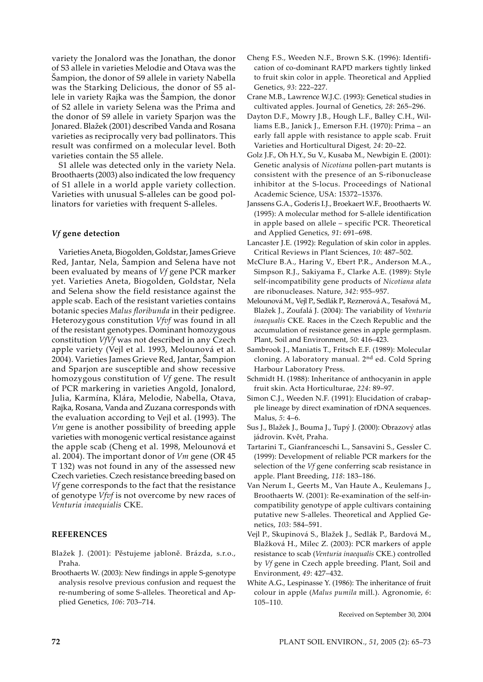variety the Jonalord was the Jonathan, the donor of S3 allele in varieties Melodie and Otava was the Šampion, the donor of S9 allele in variety Nabella was the Starking Delicious, the donor of S5 allele in variety Rajka was the Šampion, the donor of S2 allele in variety Selena was the Prima and the donor of S9 allele in variety Sparjon was the Jonared. Blažek (2001) described Vanda and Rosana varieties as reciprocally very bad pollinators. This result was confirmed on a molecular level. Both varieties contain the S5 allele.

S1 allele was detected only in the variety Nela. Broothaerts (2003) also indicated the low frequency of S1 allele in a world apple variety collection. Varieties with unusual S-alleles can be good pollinators for varieties with frequent S-alleles.

## *Vf* **gene detection**

Varieties Aneta, Biogolden, Goldstar, James Grieve Red, Jantar, Nela, Šampion and Selena have not been evaluated by means of *Vf* gene PCR marker yet. Varieties Aneta, Biogolden, Goldstar, Nela and Selena show the field resistance against the apple scab. Each of the resistant varieties contains botanic species *Malus floribunda* in their pedigree. Heterozygous constitution *Vfvf* was found in all of the resistant genotypes. Dominant homozygous constitution *VfVf* was not described in any Czech apple variety (Vejl et al. 1993, Melounová et al. 2004). Varieties James Grieve Red, Jantar, Šampion and Sparjon are susceptible and show recessive homozygous constitution of *Vf* gene. The result of PCR markering in varieties Angold, Jonalord, Julia, Karmína, Klára, Melodie, Nabella, Otava, Rajka, Rosana, Vanda and Zuzana corresponds with the evaluation according to Vejl et al. (1993). The *Vm* gene is another possibility of breeding apple varieties with monogenic vertical resistance against the apple scab (Cheng et al. 1998, Melounová et al. 2004). The important donor of *Vm* gene (OR 45 T 132) was not found in any of the assessed new Czech varieties. Czech resistance breeding based on *Vf* gene corresponds to the fact that the resistance of genotype *Vfvf* is not overcome by new races of *Venturia inaequialis* CKE.

## **REFERENCES**

Blažek J. (2001): Pěstujeme jabloně. Brázda, s.r.o., Praha.

Broothaerts W. (2003): New findings in apple S-genotype analysis resolve previous confusion and request the re-numbering of some S-alleles. Theoretical and Applied Genetics, *106*: 703–714.

- Cheng F.S., Weeden N.F., Brown S.K. (1996): Identification of co-dominant RAPD markers tightly linked to fruit skin color in apple. Theoretical and Applied Genetics, *93*: 222–227.
- Crane M.B., Lawrence W.J.C. (1993): Genetical studies in cultivated apples. Journal of Genetics, *28*: 265–296.
- Dayton D.F., Mowry J.B., Hough L.F., Balley C.H., Williams E.B., Janick J., Emerson F.H. (1970): Prima – an early fall apple with resistance to apple scab. Fruit Varieties and Horticultural Digest*, 24*: 20–22.
- Golz J.F., Oh H.Y., Su V., Kusaba M., Newbigin E. (2001): Genetic analysis of *Nicotiana* pollen-part mutants is consistent with the presence of an S-ribonuclease inhibitor at the S-locus. Proceedings of National Academic Science, USA: 15372–15376.
- Janssens G.A., Goderis I.J., Broekaert W.F., Broothaerts W. (1995): A molecular method for S-allele identification in apple based on allele – specific PCR. Theoretical and Applied Genetics, *91*: 691–698.
- Lancaster J.E. (1992): Regulation of skin color in apples. Critical Reviews in Plant Sciences, *10*: 487–502.
- McClure B.A., Haring V., Ebert P.R., Anderson M.A., Simpson R.J., Sakiyama F., Clarke A.E. (1989): Style self-incompatibility gene products of *Nicotiana alata* are ribonucleases. Nature, *342*: 955–957.
- Melounová M., Vejl P., Sedlák P., Reznerová A., Tesařová M., Blažek J., Zoufalá J. (2004): The variability of *Venturia inaequalis* CKE. Races in the Czech Republic and the accumulation of resistance genes in apple germplasm. Plant, Soil and Environment, *50*: 416–423.
- Sambrook J., Maniatis T., Fritsch E.F. (1989): Molecular cloning. A laboratory manual. 2nd ed. Cold Spring Harbour Laboratory Press.
- Schmidt H. (1988): Inheritance of anthocyanin in apple fruit skin. Acta Horticulturae, *224*: 89–97.
- Simon C.J., Weeden N.F. (1991): Elucidation of crabapple lineage by direct examination of rDNA sequences. Malus, *5*: 4–6.
- Sus J., Blažek J., Bouma J., Tupý J. (2000): Obrazový atlas jádrovin. Květ, Praha.
- Tartarini T., Gianfranceschi L., Sansavini S., Gessler C. (1999): Development of reliable PCR markers for the selection of the *Vf* gene conferring scab resistance in apple. Plant Breeding, *118*: 183–186.
- Van Nerum I., Geerts M., Van Haute A., Keulemans J., Broothaerts W. (2001): Re-examination of the self-incompatibility genotype of apple cultivars containing putative new S-alleles. Theoretical and Applied Genetics, *103*: 584–591.
- Vejl P., Skupinová S., Blažek J., Sedlák P., Bardová M., Blažková H., Milec Z. (2003): PCR markers of apple resistance to scab (*Venturia inaequalis* CKE.) controlled by *Vf* gene in Czech apple breeding. Plant, Soil and Environment, *49*: 427–432.
- White A.G., Lespinasse Y. (1986): The inheritance of fruit colour in apple (*Malus pumila* mill.). Agronomie, *6*: 105–110.

Received on September 30, 2004